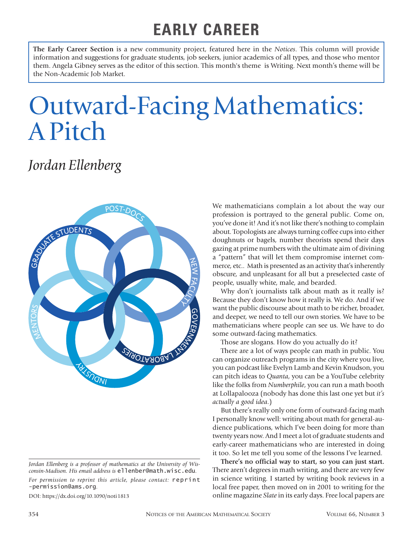## **EARLY CAREER**

**The Early Career Section** is a new community project, featured here in the *Notices*. This column will provide information and suggestions for graduate students, job seekers, junior academics of all types, and those who mentor them. Angela Gibney serves as the editor of this section. This month's theme is Writing. Next month's theme will be the Non-Academic Job Market.

## Outward-Facing Mathematics: A Pitch

## *Jordan Ellenberg*



DOI: https://dx.doi.org/10.1090/noti1813

We mathematicians complain a lot about the way our profession is portrayed to the general public. Come on, you've done it! And it's not like there's nothing to complain about. Topologists are always turning coffee cups into either doughnuts or bagels, number theorists spend their days gazing at prime numbers with the ultimate aim of divining a "pattern" that will let them compromise internet commerce, etc.. Math is presented as an activity that's inherently obscure, and unpleasant for all but a preselected caste of people, usually white, male, and bearded.

Why don't journalists talk about math as it really is? Because they don't know how it really is. We do. And if we want the public discourse about math to be richer, broader, and deeper, we need to tell our own stories. We have to be mathematicians where people can see us. We have to do some outward-facing mathematics.

Those are slogans. How do you actually do it?

There are a lot of ways people can math in public. You can organize outreach programs in the city where you live, you can podcast like Evelyn Lamb and Kevin Knudson, you can pitch ideas to *Quanta*, you can be a YouTube celebrity like the folks from *Numberphile*, you can run a math booth at Lollapalooza (nobody has done this last one yet but *it's actually a good idea*.)

But there's really only one form of outward-facing math I personally know well: writing about math for general-audience publications, which I've been doing for more than twenty years now. And I meet a lot of graduate students and early-career mathematicians who are interested in doing it too. So let me tell you some of the lessons I've learned.

**There's no official way to start, so you can just start.** There aren't degrees in math writing, and there are very few in science writing. I started by writing book reviews in a local free paper, then moved on in 2001 to writing for the online magazine *Slate* in its early days. Free local papers are

*Jordan Ellenberg is a professor of mathematics at the University of Wisconsin-Madison. His email address is* ellenber@math.wisc.edu*.*

*For permission to reprint this article, please contact:* reprint -permission@ams.org.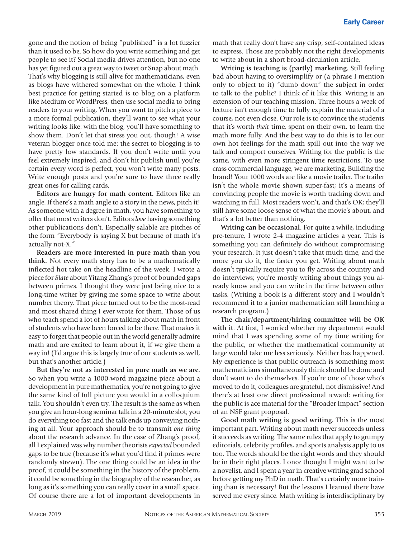gone and the notion of being "published" is a lot fuzzier than it used to be. So how do you write something and get people to see it? Social media drives attention, but no one has yet figured out a great way to tweet or Snap about math. That's why blogging is still alive for mathematicians, even as blogs have withered somewhat on the whole. I think best practice for getting started is to blog on a platform like Medium or WordPress, then use social media to bring readers to your writing. When you want to pitch a piece to a more formal publication, they'll want to see what your writing looks like: with the blog, you'll have something to show them. Don't let that stress you out, though! A wise veteran blogger once told me: the secret to blogging is to have pretty low standards. If you don't write until you feel extremely inspired, and don't hit publish until you're certain every word is perfect, you won't write many posts. Write enough posts and you're sure to have three really great ones for calling cards.

**Editors are hungry for math content.** Editors like an angle. If there's a math angle to a story in the news, pitch it! As someone with a degree in math, you have something to offer that most writers don't. Editors *love* having something other publications don't. Especially salable are pitches of the form "Everybody is saying X but because of math it's actually not-X."

**Readers are more interested in pure math than you think.** Not every math story has to be a mathematically inflected hot take on the headline of the week. I wrote a piece for *Slate* about Yitang Zhang's proof of bounded gaps between primes. I thought they were just being nice to a long-time writer by giving me some space to write about number theory. That piece turned out to be the most-read and most-shared thing I ever wrote for them. Those of us who teach spend a lot of hours talking about math in front of students who have been forced to be there. That makes it easy to forget that people out in the world generally admire math and are excited to learn about it, if we give them a way in! (I'd argue this is largely true of our students as well, but that's another article.)

**But they're not as interested in pure math as we are.** So when you write a 1000-word magazine piece about a development in pure mathematics, you're not going to give the same kind of full picture you would in a colloquium talk. You shouldn't even try. The result is the same as when you give an hour-long seminar talk in a 20-minute slot; you do everything too fast and the talk ends up conveying nothing at all. Your approach should be to transmit *one thing* about the research advance. In the case of Zhang's proof, all I explained was why number theorists *expected* bounded gaps to be true (because it's what you'd find if primes were randomly strewn). The one thing could be an idea in the proof, it could be something in the history of the problem, it could be something in the biography of the researcher, as long as it's something you can really cover in a small space. Of course there are a lot of important developments in

math that really don't have *any* crisp, self-contained ideas to express. Those are probably not the right developments to write about in a short broad-circulation article.

**Writing is teaching is (partly) marketing.** Still feeling bad about having to oversimplify or (a phrase I mention only to object to it) "dumb down" the subject in order to talk to the public? I think of it like this. Writing is an extension of our teaching mission. Three hours a week of lecture isn't enough time to fully explain the material of a course, not even close. Our role is to convince the students that it's worth *thei*r time, spent on their own, to learn the math more fully. And the best way to do this is to let our own hot feelings for the math spill out into the way we talk and comport ourselves. Writing for the public is the same, with even more stringent time restrictions. To use crass commercial language, we are marketing. Building the brand! Your 1000 words are like a movie trailer. The trailer isn't the whole movie shown super-fast; it's a means of convincing people the movie is worth tracking down and watching in full. Most readers won't, and that's OK; they'll still have some loose sense of what the movie's about, and that's a lot better than nothing.

**Writing can be occasional.** For quite a while, including pre-tenure, I wrote 2-4 magazine articles a year. This is something you can definitely do without compromising your research. It just doesn't take that much time, and the more you do it, the faster you get. Writing about math doesn't typically require you to fly across the country and do interviews; you're mostly writing about things you already know and you can write in the time between other tasks. (Writing a book is a different story and I wouldn't recommend it to a junior mathematician still launching a research program.)

**The chair/department/hiring committee will be OK with it**. At first, I worried whether my department would mind that I was spending some of my time writing for the public, or whether the mathematical community at large would take me less seriously. Neither has happened. My experience is that public outreach is something most mathematicians simultaneously think should be done and don't want to do themselves. If you're one of those who's moved to do it, colleagues are grateful, not dismissive! And there's at least one direct professional reward: writing for the public is ace material for the "Broader Impact" section of an NSF grant proposal.

**Good math writing is good writing.** This is the most important part. Writing about math never succeeds unless it succeeds as writing. The same rules that apply to grumpy editorials, celebrity profiles, and sports analysis apply to us too. The words should be the right words and they should be in their right places. I once thought I might want to be a novelist, and I spent a year in creative writing grad school before getting my PhD in math. That's certainly more training than is necessary! But the lessons I learned there have served me every since. Math writing is interdisciplinary by